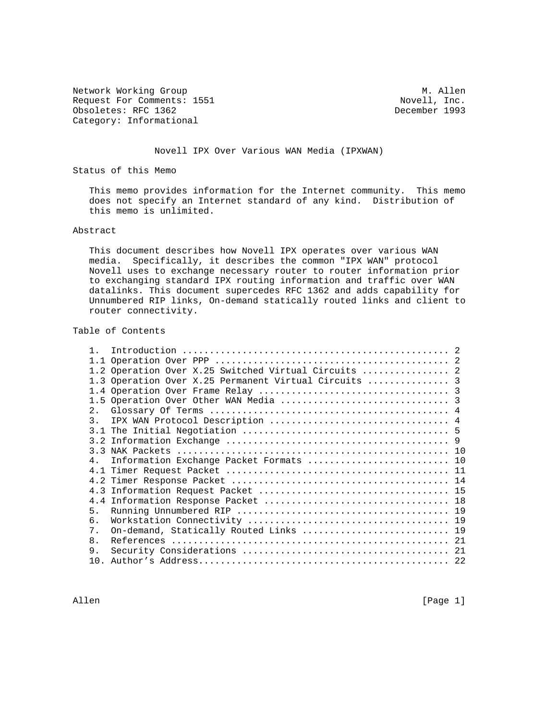Network Working Group<br>Request For Comments: 1551 Media Movell, Inc. Request For Comments: 1551 Novell, Inc. (1993) Novelland Movell, Inc. (1993) Obsoletes: RFC 1362 Category: Informational

### Novell IPX Over Various WAN Media (IPXWAN)

Status of this Memo

 This memo provides information for the Internet community. This memo does not specify an Internet standard of any kind. Distribution of this memo is unlimited.

### Abstract

 This document describes how Novell IPX operates over various WAN media. Specifically, it describes the common "IPX WAN" protocol Novell uses to exchange necessary router to router information prior to exchanging standard IPX routing information and traffic over WAN datalinks. This document supercedes RFC 1362 and adds capability for Unnumbered RIP links, On-demand statically routed links and client to router connectivity.

Table of Contents

|                | 1.2 Operation Over X.25 Switched Virtual Circuits  2  |  |
|----------------|-------------------------------------------------------|--|
|                | 1.3 Operation Over X.25 Permanent Virtual Circuits  3 |  |
|                |                                                       |  |
|                |                                                       |  |
|                |                                                       |  |
| $\mathcal{R}$  |                                                       |  |
|                |                                                       |  |
|                |                                                       |  |
|                |                                                       |  |
| $\overline{4}$ | Information Exchange Packet Formats  10               |  |
|                |                                                       |  |
|                |                                                       |  |
|                |                                                       |  |
|                |                                                       |  |
| 5.             |                                                       |  |
| б.             |                                                       |  |
| 7.             | On-demand, Statically Routed Links  19                |  |
| 8 <sub>1</sub> |                                                       |  |
| 9.             |                                                       |  |
|                |                                                       |  |
|                |                                                       |  |

Allen [Page 1]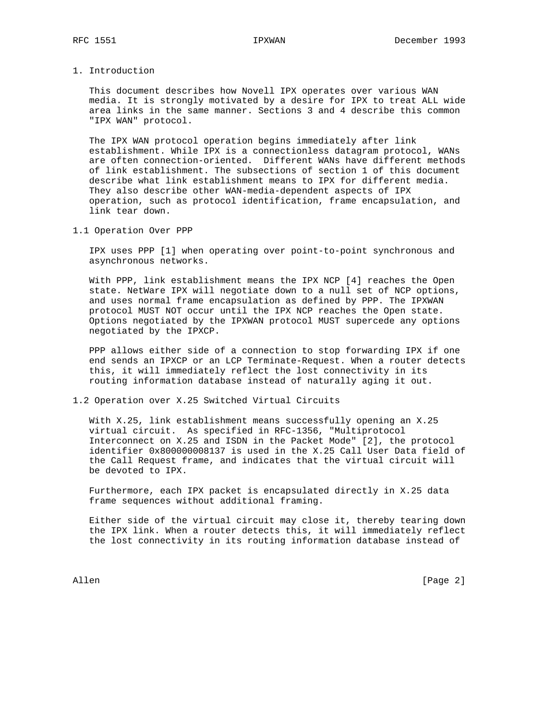1. Introduction

 This document describes how Novell IPX operates over various WAN media. It is strongly motivated by a desire for IPX to treat ALL wide area links in the same manner. Sections 3 and 4 describe this common "IPX WAN" protocol.

 The IPX WAN protocol operation begins immediately after link establishment. While IPX is a connectionless datagram protocol, WANs are often connection-oriented. Different WANs have different methods of link establishment. The subsections of section 1 of this document describe what link establishment means to IPX for different media. They also describe other WAN-media-dependent aspects of IPX operation, such as protocol identification, frame encapsulation, and link tear down.

1.1 Operation Over PPP

 IPX uses PPP [1] when operating over point-to-point synchronous and asynchronous networks.

 With PPP, link establishment means the IPX NCP [4] reaches the Open state. NetWare IPX will negotiate down to a null set of NCP options, and uses normal frame encapsulation as defined by PPP. The IPXWAN protocol MUST NOT occur until the IPX NCP reaches the Open state. Options negotiated by the IPXWAN protocol MUST supercede any options negotiated by the IPXCP.

 PPP allows either side of a connection to stop forwarding IPX if one end sends an IPXCP or an LCP Terminate-Request. When a router detects this, it will immediately reflect the lost connectivity in its routing information database instead of naturally aging it out.

1.2 Operation over X.25 Switched Virtual Circuits

 With X.25, link establishment means successfully opening an X.25 virtual circuit. As specified in RFC-1356, "Multiprotocol Interconnect on X.25 and ISDN in the Packet Mode" [2], the protocol identifier 0x800000008137 is used in the X.25 Call User Data field of the Call Request frame, and indicates that the virtual circuit will be devoted to IPX.

 Furthermore, each IPX packet is encapsulated directly in X.25 data frame sequences without additional framing.

 Either side of the virtual circuit may close it, thereby tearing down the IPX link. When a router detects this, it will immediately reflect the lost connectivity in its routing information database instead of

Allen [Page 2]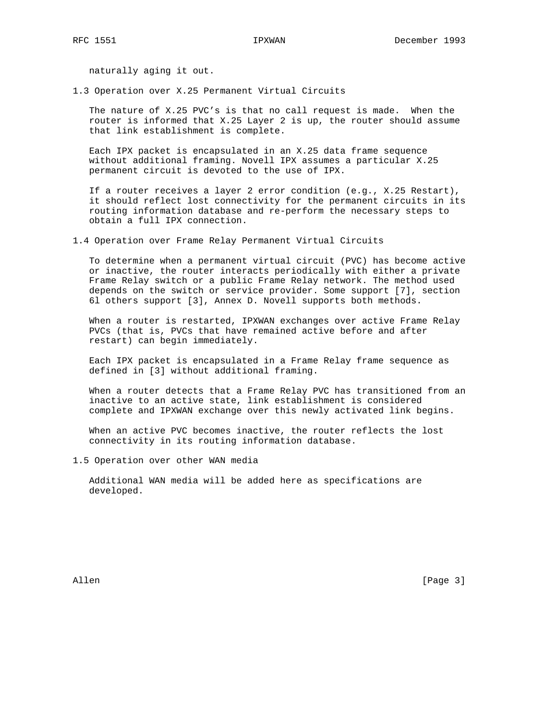naturally aging it out.

1.3 Operation over X.25 Permanent Virtual Circuits

 The nature of X.25 PVC's is that no call request is made. When the router is informed that X.25 Layer 2 is up, the router should assume that link establishment is complete.

 Each IPX packet is encapsulated in an X.25 data frame sequence without additional framing. Novell IPX assumes a particular X.25 permanent circuit is devoted to the use of IPX.

 If a router receives a layer 2 error condition (e.g., X.25 Restart), it should reflect lost connectivity for the permanent circuits in its routing information database and re-perform the necessary steps to obtain a full IPX connection.

1.4 Operation over Frame Relay Permanent Virtual Circuits

 To determine when a permanent virtual circuit (PVC) has become active or inactive, the router interacts periodically with either a private Frame Relay switch or a public Frame Relay network. The method used depends on the switch or service provider. Some support [7], section 6l others support [3], Annex D. Novell supports both methods.

 When a router is restarted, IPXWAN exchanges over active Frame Relay PVCs (that is, PVCs that have remained active before and after restart) can begin immediately.

 Each IPX packet is encapsulated in a Frame Relay frame sequence as defined in [3] without additional framing.

 When a router detects that a Frame Relay PVC has transitioned from an inactive to an active state, link establishment is considered complete and IPXWAN exchange over this newly activated link begins.

 When an active PVC becomes inactive, the router reflects the lost connectivity in its routing information database.

1.5 Operation over other WAN media

 Additional WAN media will be added here as specifications are developed.

Allen [Page 3]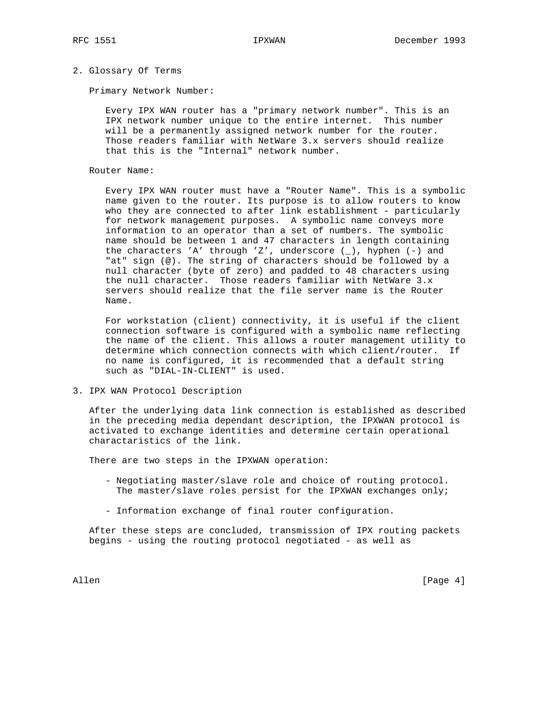## 2. Glossary Of Terms

Primary Network Number:

 Every IPX WAN router has a "primary network number". This is an IPX network number unique to the entire internet. This number will be a permanently assigned network number for the router. Those readers familiar with NetWare 3.x servers should realize that this is the "Internal" network number.

### Router Name:

 Every IPX WAN router must have a "Router Name". This is a symbolic name given to the router. Its purpose is to allow routers to know who they are connected to after link establishment - particularly for network management purposes. A symbolic name conveys more information to an operator than a set of numbers. The symbolic name should be between 1 and 47 characters in length containing the characters 'A' through 'Z', underscore (\_), hyphen (-) and "at" sign (@). The string of characters should be followed by a null character (byte of zero) and padded to 48 characters using the null character. Those readers familiar with NetWare 3.x servers should realize that the file server name is the Router Name.

 For workstation (client) connectivity, it is useful if the client connection software is configured with a symbolic name reflecting the name of the client. This allows a router management utility to determine which connection connects with which client/router. If no name is configured, it is recommended that a default string such as "DIAL-IN-CLIENT" is used.

3. IPX WAN Protocol Description

 After the underlying data link connection is established as described in the preceding media dependant description, the IPXWAN protocol is activated to exchange identities and determine certain operational charactaristics of the link.

There are two steps in the IPXWAN operation:

- Negotiating master/slave role and choice of routing protocol. The master/slave roles persist for the IPXWAN exchanges only;
- Information exchange of final router configuration.

 After these steps are concluded, transmission of IPX routing packets begins - using the routing protocol negotiated - as well as

Allen [Page 4]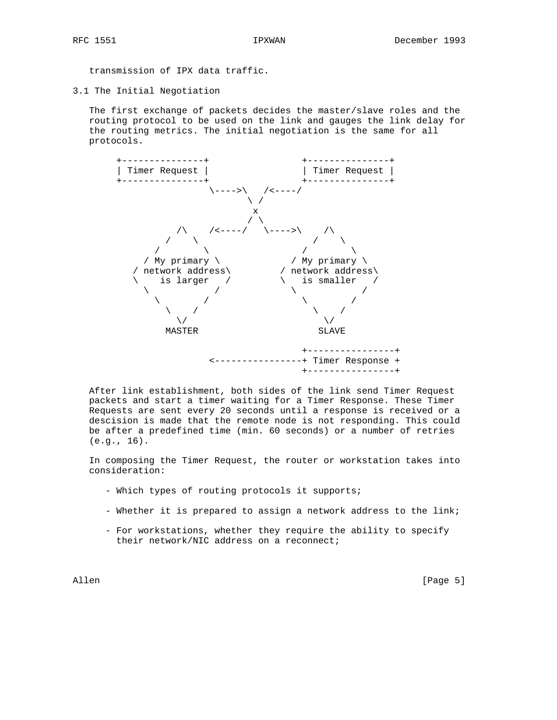transmission of IPX data traffic.

3.1 The Initial Negotiation

 The first exchange of packets decides the master/slave roles and the routing protocol to be used on the link and gauges the link delay for the routing metrics. The initial negotiation is the same for all protocols.



 After link establishment, both sides of the link send Timer Request packets and start a timer waiting for a Timer Response. These Timer Requests are sent every 20 seconds until a response is received or a descision is made that the remote node is not responding. This could be after a predefined time (min. 60 seconds) or a number of retries (e.g., 16).

 In composing the Timer Request, the router or workstation takes into consideration:

- Which types of routing protocols it supports;
- Whether it is prepared to assign a network address to the link;
- For workstations, whether they require the ability to specify their network/NIC address on a reconnect;

Allen [Page 5]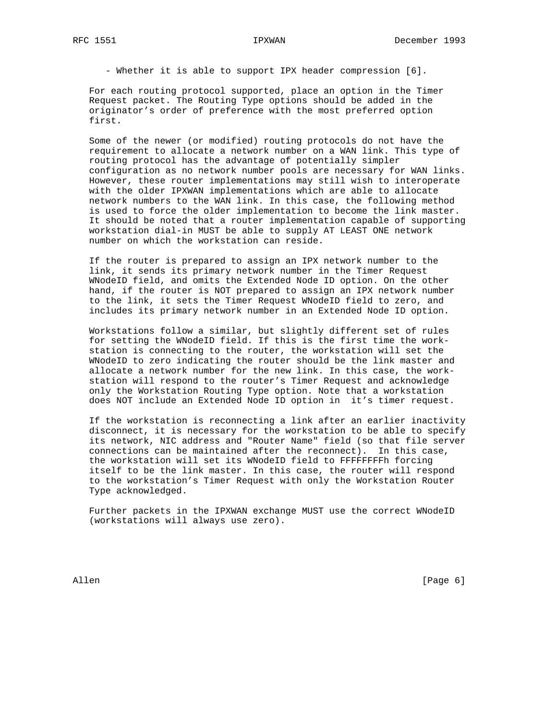- Whether it is able to support IPX header compression [6].

 For each routing protocol supported, place an option in the Timer Request packet. The Routing Type options should be added in the originator's order of preference with the most preferred option first.

 Some of the newer (or modified) routing protocols do not have the requirement to allocate a network number on a WAN link. This type of routing protocol has the advantage of potentially simpler configuration as no network number pools are necessary for WAN links. However, these router implementations may still wish to interoperate with the older IPXWAN implementations which are able to allocate network numbers to the WAN link. In this case, the following method is used to force the older implementation to become the link master. It should be noted that a router implementation capable of supporting workstation dial-in MUST be able to supply AT LEAST ONE network number on which the workstation can reside.

 If the router is prepared to assign an IPX network number to the link, it sends its primary network number in the Timer Request WNodeID field, and omits the Extended Node ID option. On the other hand, if the router is NOT prepared to assign an IPX network number to the link, it sets the Timer Request WNodeID field to zero, and includes its primary network number in an Extended Node ID option.

 Workstations follow a similar, but slightly different set of rules for setting the WNodeID field. If this is the first time the work station is connecting to the router, the workstation will set the WNodeID to zero indicating the router should be the link master and allocate a network number for the new link. In this case, the work station will respond to the router's Timer Request and acknowledge only the Workstation Routing Type option. Note that a workstation does NOT include an Extended Node ID option in it's timer request.

 If the workstation is reconnecting a link after an earlier inactivity disconnect, it is necessary for the workstation to be able to specify its network, NIC address and "Router Name" field (so that file server connections can be maintained after the reconnect). In this case, the workstation will set its WNodeID field to FFFFFFFFh forcing itself to be the link master. In this case, the router will respond to the workstation's Timer Request with only the Workstation Router Type acknowledged.

 Further packets in the IPXWAN exchange MUST use the correct WNodeID (workstations will always use zero).

Allen [Page 6]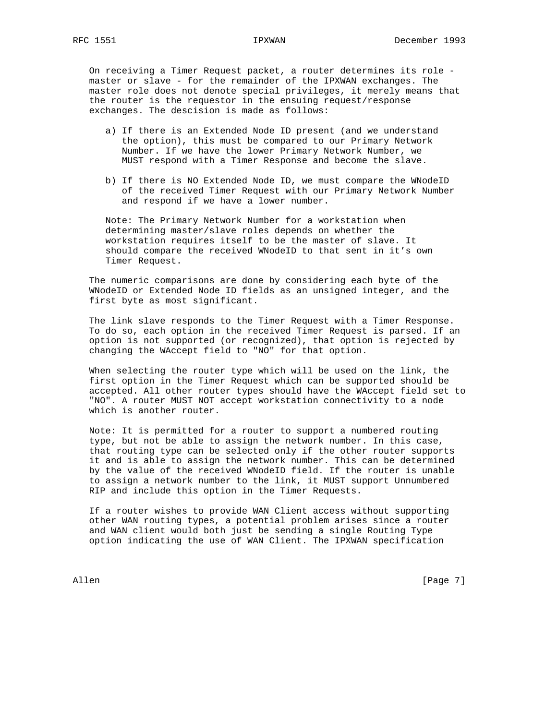On receiving a Timer Request packet, a router determines its role master or slave - for the remainder of the IPXWAN exchanges. The master role does not denote special privileges, it merely means that the router is the requestor in the ensuing request/response exchanges. The descision is made as follows:

- a) If there is an Extended Node ID present (and we understand the option), this must be compared to our Primary Network Number. If we have the lower Primary Network Number, we MUST respond with a Timer Response and become the slave.
- b) If there is NO Extended Node ID, we must compare the WNodeID of the received Timer Request with our Primary Network Number and respond if we have a lower number.

 Note: The Primary Network Number for a workstation when determining master/slave roles depends on whether the workstation requires itself to be the master of slave. It should compare the received WNodeID to that sent in it's own Timer Request.

 The numeric comparisons are done by considering each byte of the WNodeID or Extended Node ID fields as an unsigned integer, and the first byte as most significant.

 The link slave responds to the Timer Request with a Timer Response. To do so, each option in the received Timer Request is parsed. If an option is not supported (or recognized), that option is rejected by changing the WAccept field to "NO" for that option.

 When selecting the router type which will be used on the link, the first option in the Timer Request which can be supported should be accepted. All other router types should have the WAccept field set to "NO". A router MUST NOT accept workstation connectivity to a node which is another router.

 Note: It is permitted for a router to support a numbered routing type, but not be able to assign the network number. In this case, that routing type can be selected only if the other router supports it and is able to assign the network number. This can be determined by the value of the received WNodeID field. If the router is unable to assign a network number to the link, it MUST support Unnumbered RIP and include this option in the Timer Requests.

 If a router wishes to provide WAN Client access without supporting other WAN routing types, a potential problem arises since a router and WAN client would both just be sending a single Routing Type option indicating the use of WAN Client. The IPXWAN specification

Allen [Page 7]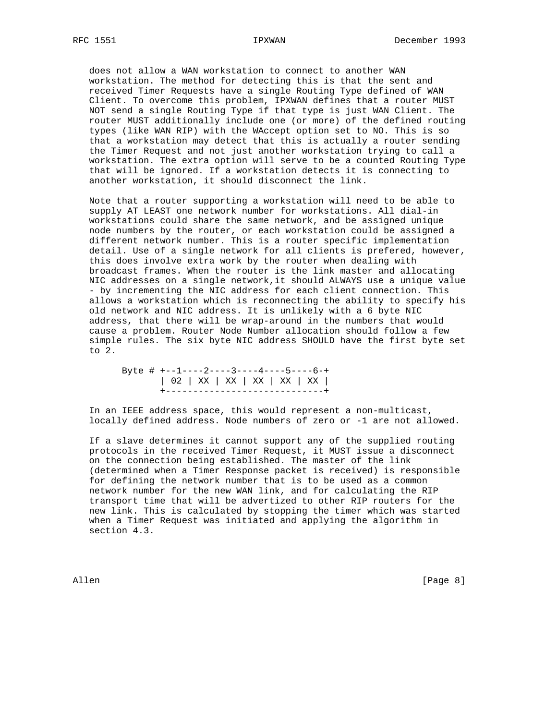does not allow a WAN workstation to connect to another WAN workstation. The method for detecting this is that the sent and received Timer Requests have a single Routing Type defined of WAN Client. To overcome this problem, IPXWAN defines that a router MUST NOT send a single Routing Type if that type is just WAN Client. The router MUST additionally include one (or more) of the defined routing types (like WAN RIP) with the WAccept option set to NO. This is so that a workstation may detect that this is actually a router sending the Timer Request and not just another workstation trying to call a workstation. The extra option will serve to be a counted Routing Type that will be ignored. If a workstation detects it is connecting to another workstation, it should disconnect the link.

 Note that a router supporting a workstation will need to be able to supply AT LEAST one network number for workstations. All dial-in workstations could share the same network, and be assigned unique node numbers by the router, or each workstation could be assigned a different network number. This is a router specific implementation detail. Use of a single network for all clients is prefered, however, this does involve extra work by the router when dealing with broadcast frames. When the router is the link master and allocating NIC addresses on a single network,it should ALWAYS use a unique value - by incrementing the NIC address for each client connection. This allows a workstation which is reconnecting the ability to specify his old network and NIC address. It is unlikely with a 6 byte NIC address, that there will be wrap-around in the numbers that would cause a problem. Router Node Number allocation should follow a few simple rules. The six byte NIC address SHOULD have the first byte set to 2.

 Byte # +--1----2----3----4----5----6-+ | 02 | XX | XX | XX | XX | XX | +-----------------------------+

 In an IEEE address space, this would represent a non-multicast, locally defined address. Node numbers of zero or -1 are not allowed.

 If a slave determines it cannot support any of the supplied routing protocols in the received Timer Request, it MUST issue a disconnect on the connection being established. The master of the link (determined when a Timer Response packet is received) is responsible for defining the network number that is to be used as a common network number for the new WAN link, and for calculating the RIP transport time that will be advertized to other RIP routers for the new link. This is calculated by stopping the timer which was started when a Timer Request was initiated and applying the algorithm in section 4.3.

Allen [Page 8]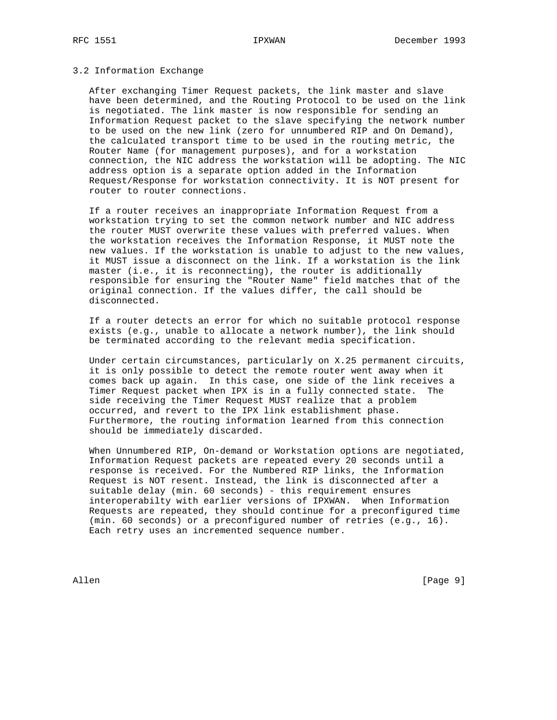### 3.2 Information Exchange

 After exchanging Timer Request packets, the link master and slave have been determined, and the Routing Protocol to be used on the link is negotiated. The link master is now responsible for sending an Information Request packet to the slave specifying the network number to be used on the new link (zero for unnumbered RIP and On Demand), the calculated transport time to be used in the routing metric, the Router Name (for management purposes), and for a workstation connection, the NIC address the workstation will be adopting. The NIC address option is a separate option added in the Information Request/Response for workstation connectivity. It is NOT present for router to router connections.

 If a router receives an inappropriate Information Request from a workstation trying to set the common network number and NIC address the router MUST overwrite these values with preferred values. When the workstation receives the Information Response, it MUST note the new values. If the workstation is unable to adjust to the new values, it MUST issue a disconnect on the link. If a workstation is the link master (i.e., it is reconnecting), the router is additionally responsible for ensuring the "Router Name" field matches that of the original connection. If the values differ, the call should be disconnected.

 If a router detects an error for which no suitable protocol response exists (e.g., unable to allocate a network number), the link should be terminated according to the relevant media specification.

 Under certain circumstances, particularly on X.25 permanent circuits, it is only possible to detect the remote router went away when it comes back up again. In this case, one side of the link receives a Timer Request packet when IPX is in a fully connected state. The side receiving the Timer Request MUST realize that a problem occurred, and revert to the IPX link establishment phase. Furthermore, the routing information learned from this connection should be immediately discarded.

 When Unnumbered RIP, On-demand or Workstation options are negotiated, Information Request packets are repeated every 20 seconds until a response is received. For the Numbered RIP links, the Information Request is NOT resent. Instead, the link is disconnected after a suitable delay (min. 60 seconds) - this requirement ensures interoperabilty with earlier versions of IPXWAN. When Information Requests are repeated, they should continue for a preconfigured time (min. 60 seconds) or a preconfigured number of retries (e.g., 16). Each retry uses an incremented sequence number.

Allen [Page 9]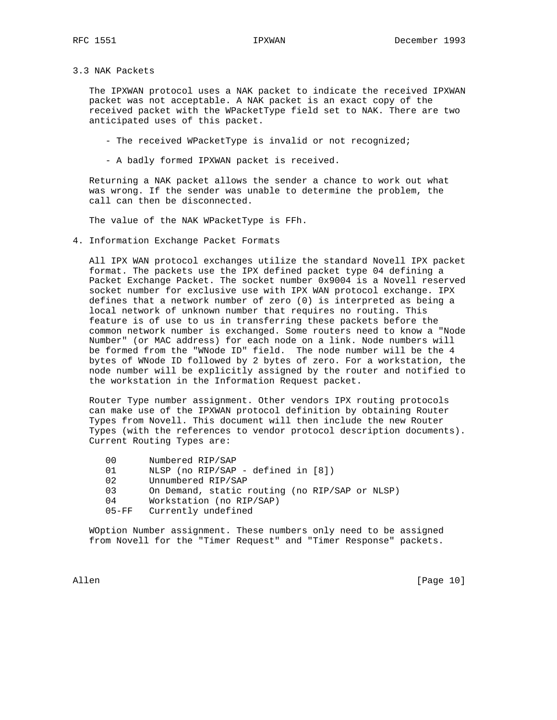### 3.3 NAK Packets

 The IPXWAN protocol uses a NAK packet to indicate the received IPXWAN packet was not acceptable. A NAK packet is an exact copy of the received packet with the WPacketType field set to NAK. There are two anticipated uses of this packet.

- The received WPacketType is invalid or not recognized;
- A badly formed IPXWAN packet is received.

 Returning a NAK packet allows the sender a chance to work out what was wrong. If the sender was unable to determine the problem, the call can then be disconnected.

The value of the NAK WPacketType is FFh.

4. Information Exchange Packet Formats

 All IPX WAN protocol exchanges utilize the standard Novell IPX packet format. The packets use the IPX defined packet type 04 defining a Packet Exchange Packet. The socket number 0x9004 is a Novell reserved socket number for exclusive use with IPX WAN protocol exchange. IPX defines that a network number of zero (0) is interpreted as being a local network of unknown number that requires no routing. This feature is of use to us in transferring these packets before the common network number is exchanged. Some routers need to know a "Node Number" (or MAC address) for each node on a link. Node numbers will be formed from the "WNode ID" field. The node number will be the 4 bytes of WNode ID followed by 2 bytes of zero. For a workstation, the node number will be explicitly assigned by the router and notified to the workstation in the Information Request packet.

 Router Type number assignment. Other vendors IPX routing protocols can make use of the IPXWAN protocol definition by obtaining Router Types from Novell. This document will then include the new Router Types (with the references to vendor protocol description documents). Current Routing Types are:

| 00 <sup>o</sup> | Numbered RIP/SAP                               |
|-----------------|------------------------------------------------|
| 01              | NLSP (no RIP/SAP - defined in $[8]$ )          |
| 02              | Unnumbered RIP/SAP                             |
| 03              | On Demand, static routing (no RIP/SAP or NLSP) |
| 04              | Workstation (no RIP/SAP)                       |
| $05 - FFF$      | Currently undefined                            |

 WOption Number assignment. These numbers only need to be assigned from Novell for the "Timer Request" and "Timer Response" packets.

Allen [Page 10]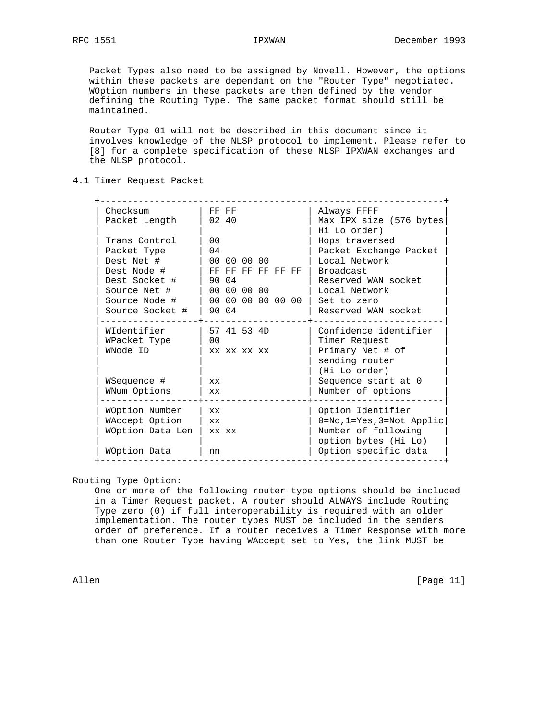Packet Types also need to be assigned by Novell. However, the options within these packets are dependant on the "Router Type" negotiated. WOption numbers in these packets are then defined by the vendor defining the Routing Type. The same packet format should still be maintained.

 Router Type 01 will not be described in this document since it involves knowledge of the NLSP protocol to implement. Please refer to [8] for a complete specification of these NLSP IPXWAN exchanges and the NLSP protocol.

4.1 Timer Request Packet

| Checksum<br>Packet Length                                                                                                      | FF FF<br>02 40                                                                                                 | Always FFFF<br>Max IPX size (576 bytes<br>Hi Lo order)                                                                                               |
|--------------------------------------------------------------------------------------------------------------------------------|----------------------------------------------------------------------------------------------------------------|------------------------------------------------------------------------------------------------------------------------------------------------------|
| Trans Control<br>Packet Type<br>Dest Net #<br>Dest Node #<br>Dest Socket #<br>Source Net #<br>Source Node #<br>Source Socket # | 0 <sub>0</sub><br>04<br>00 00 00 00<br>FF FF FF FF FF FF<br>90 04<br>00 00 00 00<br>00 00 00 00 00 00<br>90 04 | Hops traversed<br>Packet Exchange Packet<br>Local Network<br>Broadcast<br>Reserved WAN socket<br>Local Network<br>Set to zero<br>Reserved WAN socket |
| WIdentifier<br>WPacket Type<br>WNode ID<br>WSequence #<br>WNum Options                                                         | 57 41 53 4D<br>0 <sub>0</sub><br>XX XX XX XX<br><b>XX</b><br><b>XX</b>                                         | Confidence identifier<br>Timer Request<br>Primary Net # of<br>sending router<br>(Hi Lo order)<br>Sequence start at 0<br>Number of options            |
| WOption Number<br>WAccept Option<br>WOption Data Len<br>WOption Data                                                           | XX.<br><b>xx</b><br>XX XX<br>nn                                                                                | Option Identifier<br>$0 = No, 1 = Yes, 3 = Not Application$<br>Number of following<br>option bytes (Hi Lo)<br>Option specific data                   |

Routing Type Option:

 One or more of the following router type options should be included in a Timer Request packet. A router should ALWAYS include Routing Type zero (0) if full interoperability is required with an older implementation. The router types MUST be included in the senders order of preference. If a router receives a Timer Response with more than one Router Type having WAccept set to Yes, the link MUST be

Allen [Page 11]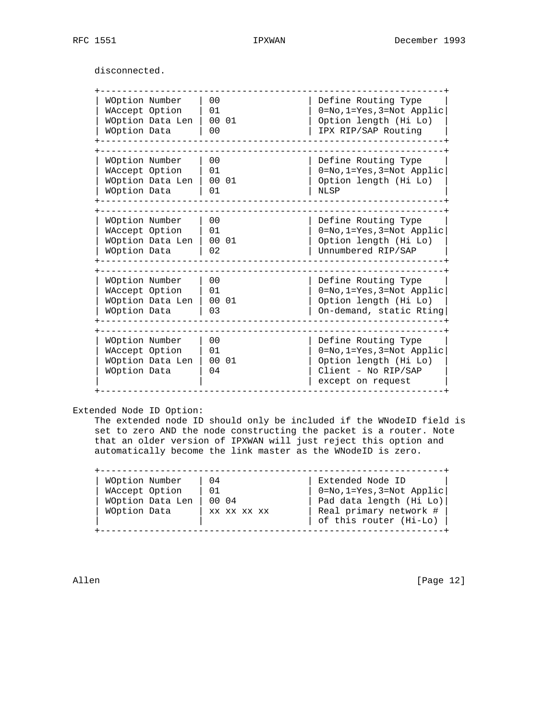disconnected.

| WOption Number<br>WAccept Option<br>WOption Data<br>WOption Number<br>WAccept Option<br>WOption Data Len<br>WOption Data | WOption Data Len | 00<br>01<br>00 01<br>0 <sub>0</sub><br>0 <sub>0</sub> | Define Routing Type<br>0=No, 1=Yes, 3=Not Applic<br>Option length (Hi Lo)<br>IPX RIP/SAP Routing                      |
|--------------------------------------------------------------------------------------------------------------------------|------------------|-------------------------------------------------------|-----------------------------------------------------------------------------------------------------------------------|
|                                                                                                                          |                  |                                                       |                                                                                                                       |
|                                                                                                                          |                  |                                                       |                                                                                                                       |
|                                                                                                                          |                  |                                                       |                                                                                                                       |
|                                                                                                                          |                  |                                                       |                                                                                                                       |
|                                                                                                                          |                  |                                                       |                                                                                                                       |
|                                                                                                                          |                  |                                                       | Define Routing Type                                                                                                   |
|                                                                                                                          |                  | 01                                                    | $0 = No, 1 = Yes, 3 = Not Applic$                                                                                     |
|                                                                                                                          |                  | 00 01                                                 | Option length (Hi Lo)                                                                                                 |
|                                                                                                                          |                  | 01                                                    | <b>NLSP</b>                                                                                                           |
|                                                                                                                          |                  |                                                       |                                                                                                                       |
| WOption Number                                                                                                           |                  | 00                                                    | Define Routing Type                                                                                                   |
| WAccept Option                                                                                                           |                  | 01                                                    | $0 = No, 1 = Yes, 3 = Not Applic$                                                                                     |
|                                                                                                                          | WOption Data Len | 00 01                                                 | Option length (Hi Lo)                                                                                                 |
| WOption Data                                                                                                             |                  | 02                                                    | Unnumbered RIP/SAP                                                                                                    |
|                                                                                                                          |                  |                                                       |                                                                                                                       |
| WOption Number                                                                                                           |                  | 00                                                    | Define Routing Type                                                                                                   |
| WAccept Option                                                                                                           |                  | 01                                                    | $0 = No, 1 = Yes, 3 = Not Applic$                                                                                     |
|                                                                                                                          | WOption Data Len | 00 01                                                 | Option length (Hi Lo)                                                                                                 |
| WOption Data                                                                                                             |                  | 03                                                    | On-demand, static Rting                                                                                               |
| WOption Number<br>WAccept Option<br>WOption Data                                                                         | WOption Data Len | 0 <sub>0</sub><br>01<br>00 01<br>04                   | Define Routing Type<br>0=No, 1=Yes, 3=Not Applic<br>Option length (Hi Lo)<br>Client - No RIP/SAP<br>except on request |

Allen [Page 12]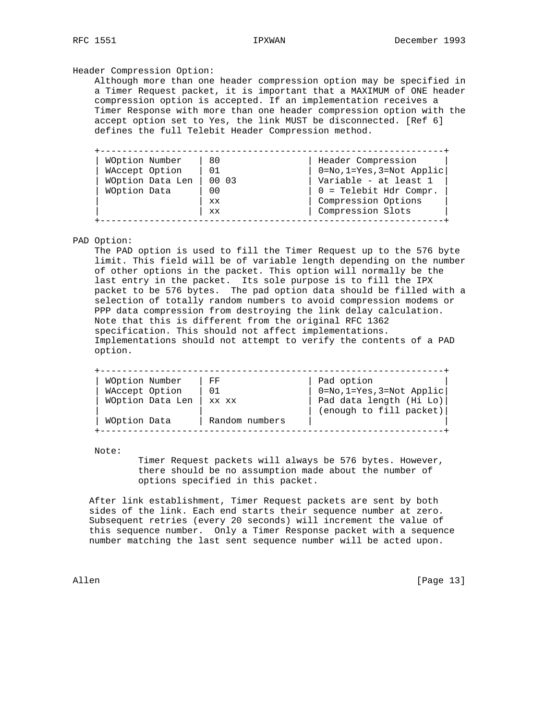### Header Compression Option:

 Although more than one header compression option may be specified in a Timer Request packet, it is important that a MAXIMUM of ONE header compression option is accepted. If an implementation receives a Timer Response with more than one header compression option with the accept option set to Yes, the link MUST be disconnected. [Ref 6] defines the full Telebit Header Compression method.

| WOption Number   | 80             | Header Compression        |
|------------------|----------------|---------------------------|
| WAccept Option   | 01             | 0=No, 1=Yes, 3=Not Applic |
| WOption Data Len | 00 03          | Variable - at least 1     |
| WOption Data     | 0 <sub>0</sub> | $0 =$ Telebit Hdr Compr.  |
|                  | <b>XX</b>      | Compression Options       |
|                  | <b>XX</b>      | Compression Slots         |

### PAD Option:

 The PAD option is used to fill the Timer Request up to the 576 byte limit. This field will be of variable length depending on the number of other options in the packet. This option will normally be the last entry in the packet. Its sole purpose is to fill the IPX packet to be 576 bytes. The pad option data should be filled with a selection of totally random numbers to avoid compression modems or PPP data compression from destroying the link delay calculation. Note that this is different from the original RFC 1362 specification. This should not affect implementations. Implementations should not attempt to verify the contents of a PAD option.

| WOption Number   | FF             | Pad option                                         |
|------------------|----------------|----------------------------------------------------|
| WAccept Option   | 01             | $0 = No, 1 = Yes, 3 = Not Applic$                  |
| WOption Data Len | XX XX          | Pad data length (Hi Lo)<br>(enough to fill packet) |
| WOption Data     | Random numbers |                                                    |

Note:

 Timer Request packets will always be 576 bytes. However, there should be no assumption made about the number of options specified in this packet.

 After link establishment, Timer Request packets are sent by both sides of the link. Each end starts their sequence number at zero. Subsequent retries (every 20 seconds) will increment the value of this sequence number. Only a Timer Response packet with a sequence number matching the last sent sequence number will be acted upon.

Allen [Page 13]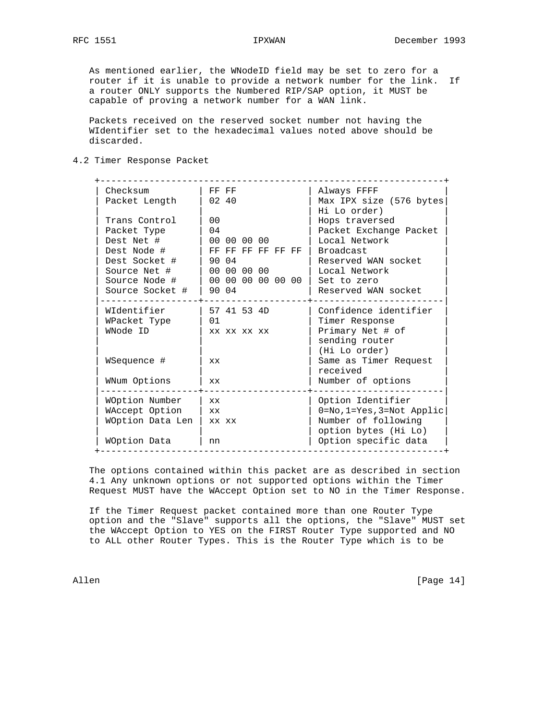As mentioned earlier, the WNodeID field may be set to zero for a router if it is unable to provide a network number for the link. If a router ONLY supports the Numbered RIP/SAP option, it MUST be capable of proving a network number for a WAN link.

 Packets received on the reserved socket number not having the WIdentifier set to the hexadecimal values noted above should be discarded.

# 4.2 Timer Response Packet

| Checksum         | FF FF             | Always FFFF                              |
|------------------|-------------------|------------------------------------------|
| Packet Length    | 02, 40            | Max IPX size (576 bytes)<br>Hi Lo order) |
| Trans Control    | 0 <sub>0</sub>    | Hops traversed                           |
| Packet Type      | 04                | Packet Exchange Packet                   |
| Dest Net #       | 00 00 00 00       | Local Network                            |
| Dest Node #      | FF FF FF FF FF FF | Broadcast                                |
| Dest Socket #    | 90 04             | Reserved WAN socket                      |
| Source Net #     | 00 00 00 00       | Local Network                            |
| Source Node #    | 00 00 00 00 00 00 | Set to zero                              |
| Source Socket #  | 90 04             | Reserved WAN socket                      |
| WIdentifier      | 57 41 53 4D       | Confidence identifier                    |
| WPacket Type     | 01                | Timer Response                           |
| WNode ID         | XX XX XX XX       | Primary Net # of                         |
|                  |                   | sending router                           |
|                  |                   | (Hi Lo order)                            |
| WSequence #      | XX.               | Same as Timer Request                    |
|                  |                   | received                                 |
| WNum Options     | XX.               | Number of options                        |
| WOption Number   | <b>XX</b>         | Option Identifier                        |
| WAccept Option   | XX.               | $0 = No, 1 = Yes, 3 = Not Applic$        |
| WOption Data Len | XX XX             | Number of following                      |
|                  |                   | option bytes (Hi Lo)                     |
| WOption Data     | nn                | Option specific data                     |

 The options contained within this packet are as described in section 4.1 Any unknown options or not supported options within the Timer Request MUST have the WAccept Option set to NO in the Timer Response.

 If the Timer Request packet contained more than one Router Type option and the "Slave" supports all the options, the "Slave" MUST set the WAccept Option to YES on the FIRST Router Type supported and NO to ALL other Router Types. This is the Router Type which is to be

Allen [Page 14]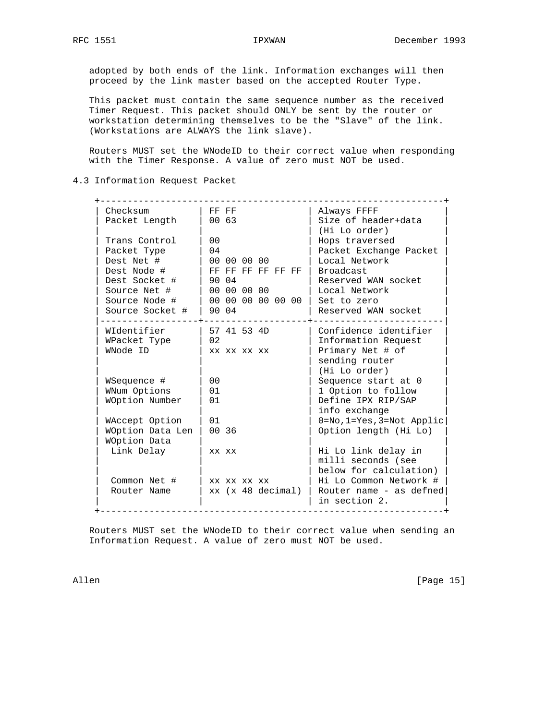adopted by both ends of the link. Information exchanges will then proceed by the link master based on the accepted Router Type.

 This packet must contain the same sequence number as the received Timer Request. This packet should ONLY be sent by the router or workstation determining themselves to be the "Slave" of the link. (Workstations are ALWAYS the link slave).

 Routers MUST set the WNodeID to their correct value when responding with the Timer Response. A value of zero must NOT be used.

4.3 Information Request Packet

| Checksum<br>Packet Length | FF FF<br>00 63    | Always FFFF<br>Size of header+data<br>(Hi Lo order) |
|---------------------------|-------------------|-----------------------------------------------------|
| Trans Control             | 0 <sub>0</sub>    | Hops traversed                                      |
| Packet Type               | 04                | Packet Exchange Packet                              |
| Dest Net #                | 00 00 00 00       | Local Network                                       |
| Dest Node #               | FF FF FF FF FF FF | <b>Broadcast</b>                                    |
| Dest Socket #             | 90 04             | Reserved WAN socket                                 |
| Source Net #              | 00 00 00 00       | Local Network                                       |
| Source Node #             | 00 00 00 00 00 00 | Set to zero                                         |
| Source Socket #           | 90 04             | Reserved WAN socket                                 |
| WIdentifier               | 57 41 53 4D       | Confidence identifier                               |
| WPacket Type              | 02                | Information Request                                 |
| WNode ID                  | XX XX XX XX       | Primary Net # of                                    |
|                           |                   | sending router                                      |
|                           |                   | (Hi Lo order)                                       |
| WSequence #               | 0 <sub>0</sub>    | Sequence start at 0                                 |
| WNum Options              | 01                | 1 Option to follow                                  |
| WOption Number            | 01                | Define IPX RIP/SAP                                  |
|                           |                   | info exchange                                       |
| WAccept Option            | 01                | 0=No, 1=Yes, 3=Not Applic                           |
| WOption Data Len          | 00 36             | Option length (Hi Lo)                               |
| WOption Data              |                   |                                                     |
| Link Delay                | XX XX             | Hi Lo link delay in                                 |
|                           |                   | milli seconds (see                                  |
|                           |                   | below for calculation)                              |
| Common Net #              | XX XX XX XX       | Hi Lo Common Network #                              |
| Router Name               | xx (x 48 decimal) | Router name - as defned                             |
|                           |                   | in section 2.                                       |

 Routers MUST set the WNodeID to their correct value when sending an Information Request. A value of zero must NOT be used.

Allen [Page 15]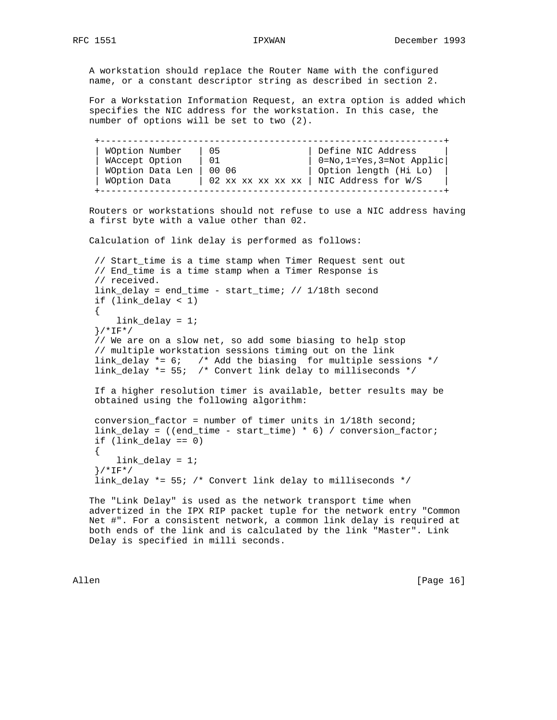A workstation should replace the Router Name with the configured name, or a constant descriptor string as described in section 2.

 For a Workstation Information Request, an extra option is added which specifies the NIC address for the workstation. In this case, the number of options will be set to two (2).

 +---------------------------------------------------------------+ | WOption Number | 05 | Define NIC Address | | WAccept Option | 01 | 0=No,1=Yes,3=Not Applic | WOption Data Len | 00 06 | Option length (Hi Lo) | | WOption Data | 02 xx xx xx xx xx | NIC Address for W/S +---------------------------------------------------------------+

 Routers or workstations should not refuse to use a NIC address having a first byte with a value other than 02.

Calculation of link delay is performed as follows:

 // Start\_time is a time stamp when Timer Request sent out // End\_time is a time stamp when a Timer Response is // received. link\_delay = end\_time - start\_time; // 1/18th second if (link\_delay < 1) { link\_delay = 1; }/\*IF\*/ // We are on a slow net, so add some biasing to help stop // multiple workstation sessions timing out on the link link\_delay \*= 6; /\* Add the biasing for multiple sessions \*/ link\_delay \*= 55; /\* Convert link delay to milliseconds \*/

 If a higher resolution timer is available, better results may be obtained using the following algorithm:

```
 conversion_factor = number of timer units in 1/18th second;
link_delay = ((end_time - start_time) * 6) / conversion_factor;
if (link_delay == 0)
{
   link_delay = 1;
}/*IF*/
link_delay *= 55; /* Convert link delay to milliseconds */
```
 The "Link Delay" is used as the network transport time when advertized in the IPX RIP packet tuple for the network entry "Common Net #". For a consistent network, a common link delay is required at both ends of the link and is calculated by the link "Master". Link Delay is specified in milli seconds.

Allen [Page 16]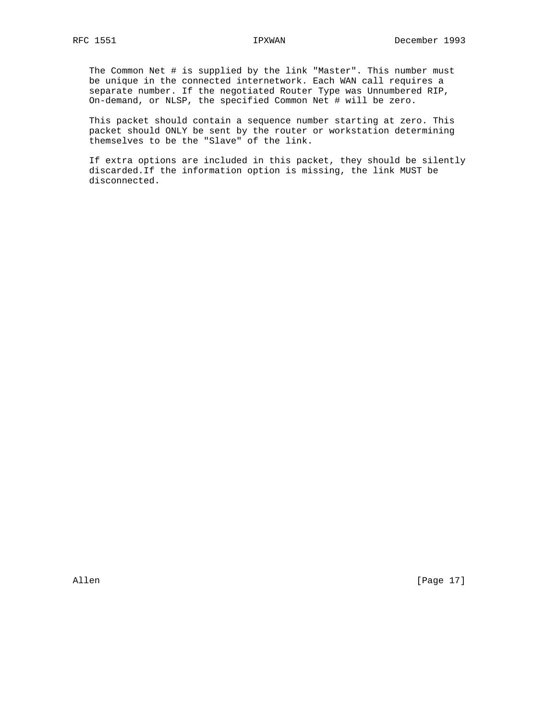The Common Net # is supplied by the link "Master". This number must be unique in the connected internetwork. Each WAN call requires a separate number. If the negotiated Router Type was Unnumbered RIP, On-demand, or NLSP, the specified Common Net # will be zero.

 This packet should contain a sequence number starting at zero. This packet should ONLY be sent by the router or workstation determining themselves to be the "Slave" of the link.

 If extra options are included in this packet, they should be silently discarded.If the information option is missing, the link MUST be disconnected.

Allen [Page 17]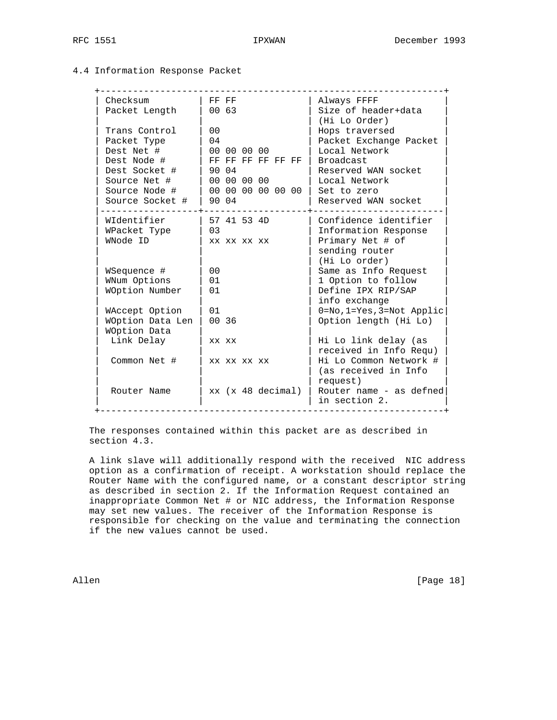# 4.4 Information Response Packet

| Checksum         | FF FF             | Always FFFF                     |
|------------------|-------------------|---------------------------------|
| Packet Length    | 00 63             | Size of header+data             |
| Trans Control    | 0 <sub>0</sub>    | (Hi Lo Order)<br>Hops traversed |
| Packet Type      | 04                | Packet Exchange Packet          |
| Dest Net #       | 00 00 00 00       | Local Network                   |
| Dest Node #      | FF FF FF FF FF FF | <b>Broadcast</b>                |
| Dest Socket #    | 90 04             | Reserved WAN socket             |
| Source Net #     | 00 00 00 00       | Local Network                   |
| Source Node #    |                   | Set to zero                     |
| Source Socket #  | 90 04             | Reserved WAN socket             |
|                  |                   |                                 |
| WIdentifier      | 57 41 53 4D       | Confidence identifier           |
| WPacket Type     | 0 <sub>3</sub>    | Information Response            |
| WNode ID         | XX XX XX XX       | Primary Net # of                |
|                  |                   | sending router<br>(Hi Lo order) |
| WSequence #      | 0 <sub>0</sub>    | Same as Info Request            |
| WNum Options     | 01                | 1 Option to follow              |
| WOption Number   | 01                | Define IPX RIP/SAP              |
|                  |                   | info exchange                   |
| WAccept Option   | 01                | 0=No, 1=Yes, 3=Not Applic       |
| WOption Data Len | 00 36             | Option length (Hi Lo)           |
| WOption Data     |                   |                                 |
| Link Delay       | XX XX             | Hi Lo link delay (as            |
|                  |                   | received in Info Requ)          |
| Common Net #     | XX XX XX XX       | Hi Lo Common Network #          |
|                  |                   | (as received in Info            |
|                  |                   | request)                        |
| Router Name      | xx (x 48 decimal) | Router name - as defned         |
|                  |                   | in section 2.                   |

 The responses contained within this packet are as described in section 4.3.

 A link slave will additionally respond with the received NIC address option as a confirmation of receipt. A workstation should replace the Router Name with the configured name, or a constant descriptor string as described in section 2. If the Information Request contained an inappropriate Common Net # or NIC address, the Information Response may set new values. The receiver of the Information Response is responsible for checking on the value and terminating the connection if the new values cannot be used.

Allen [Page 18]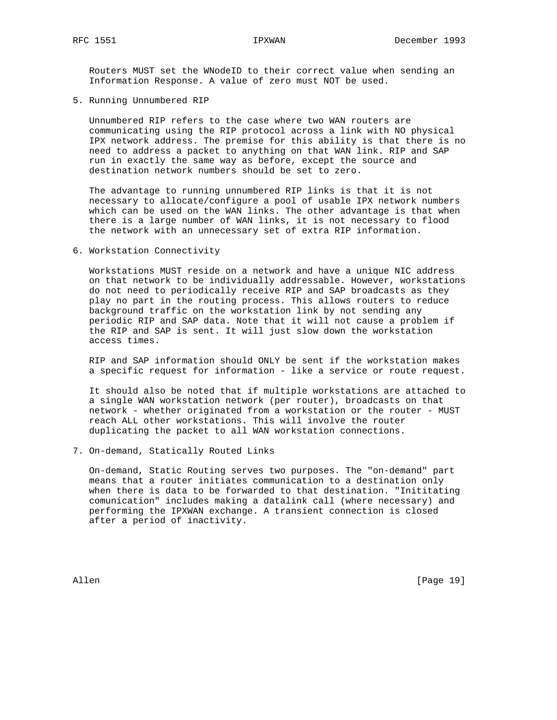Routers MUST set the WNodeID to their correct value when sending an Information Response. A value of zero must NOT be used.

5. Running Unnumbered RIP

 Unnumbered RIP refers to the case where two WAN routers are communicating using the RIP protocol across a link with NO physical IPX network address. The premise for this ability is that there is no need to address a packet to anything on that WAN link. RIP and SAP run in exactly the same way as before, except the source and destination network numbers should be set to zero.

 The advantage to running unnumbered RIP links is that it is not necessary to allocate/configure a pool of usable IPX network numbers which can be used on the WAN links. The other advantage is that when there is a large number of WAN links, it is not necessary to flood the network with an unnecessary set of extra RIP information.

6. Workstation Connectivity

 Workstations MUST reside on a network and have a unique NIC address on that network to be individually addressable. However, workstations do not need to periodically receive RIP and SAP broadcasts as they play no part in the routing process. This allows routers to reduce background traffic on the workstation link by not sending any periodic RIP and SAP data. Note that it will not cause a problem if the RIP and SAP is sent. It will just slow down the workstation access times.

 RIP and SAP information should ONLY be sent if the workstation makes a specific request for information - like a service or route request.

 It should also be noted that if multiple workstations are attached to a single WAN workstation network (per router), broadcasts on that network - whether originated from a workstation or the router - MUST reach ALL other workstations. This will involve the router duplicating the packet to all WAN workstation connections.

7. On-demand, Statically Routed Links

 On-demand, Static Routing serves two purposes. The "on-demand" part means that a router initiates communication to a destination only when there is data to be forwarded to that destination. "Inititating comunication" includes making a datalink call (where necessary) and performing the IPXWAN exchange. A transient connection is closed after a period of inactivity.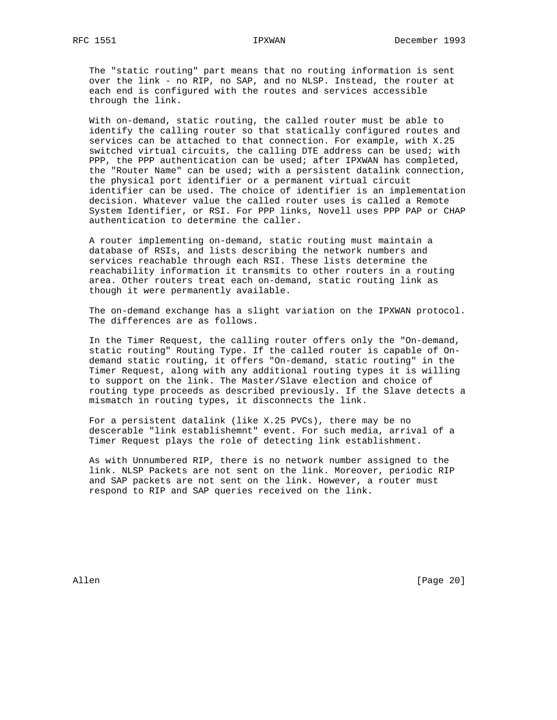The "static routing" part means that no routing information is sent over the link - no RIP, no SAP, and no NLSP. Instead, the router at each end is configured with the routes and services accessible through the link.

 With on-demand, static routing, the called router must be able to identify the calling router so that statically configured routes and services can be attached to that connection. For example, with X.25 switched virtual circuits, the calling DTE address can be used; with PPP, the PPP authentication can be used; after IPXWAN has completed, the "Router Name" can be used; with a persistent datalink connection, the physical port identifier or a permanent virtual circuit identifier can be used. The choice of identifier is an implementation decision. Whatever value the called router uses is called a Remote System Identifier, or RSI. For PPP links, Novell uses PPP PAP or CHAP authentication to determine the caller.

 A router implementing on-demand, static routing must maintain a database of RSIs, and lists describing the network numbers and services reachable through each RSI. These lists determine the reachability information it transmits to other routers in a routing area. Other routers treat each on-demand, static routing link as though it were permanently available.

 The on-demand exchange has a slight variation on the IPXWAN protocol. The differences are as follows.

 In the Timer Request, the calling router offers only the "On-demand, static routing" Routing Type. If the called router is capable of On demand static routing, it offers "On-demand, static routing" in the Timer Request, along with any additional routing types it is willing to support on the link. The Master/Slave election and choice of routing type proceeds as described previously. If the Slave detects a mismatch in routing types, it disconnects the link.

 For a persistent datalink (like X.25 PVCs), there may be no descerable "link establishemnt" event. For such media, arrival of a Timer Request plays the role of detecting link establishment.

 As with Unnumbered RIP, there is no network number assigned to the link. NLSP Packets are not sent on the link. Moreover, periodic RIP and SAP packets are not sent on the link. However, a router must respond to RIP and SAP queries received on the link.

Allen [Page 20]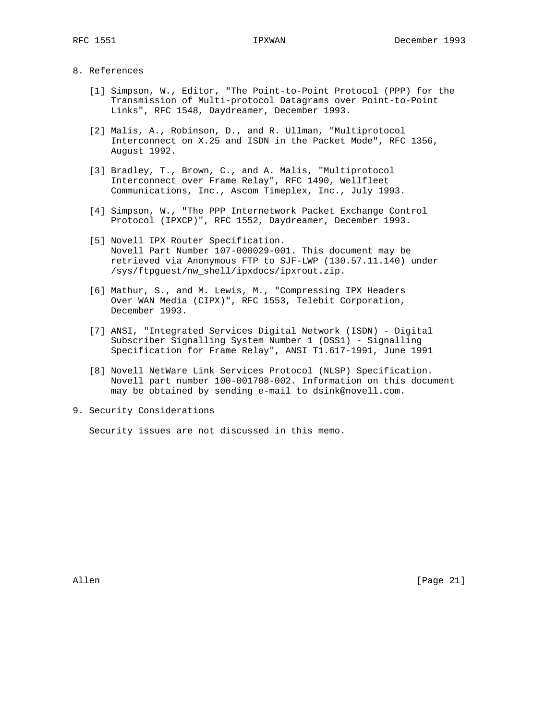### 8. References

- [1] Simpson, W., Editor, "The Point-to-Point Protocol (PPP) for the Transmission of Multi-protocol Datagrams over Point-to-Point Links", RFC 1548, Daydreamer, December 1993.
- [2] Malis, A., Robinson, D., and R. Ullman, "Multiprotocol Interconnect on X.25 and ISDN in the Packet Mode", RFC 1356, August 1992.
- [3] Bradley, T., Brown, C., and A. Malis, "Multiprotocol Interconnect over Frame Relay", RFC 1490, Wellfleet Communications, Inc., Ascom Timeplex, Inc., July 1993.
- [4] Simpson, W., "The PPP Internetwork Packet Exchange Control Protocol (IPXCP)", RFC 1552, Daydreamer, December 1993.
- [5] Novell IPX Router Specification. Novell Part Number 107-000029-001. This document may be retrieved via Anonymous FTP to SJF-LWP (130.57.11.140) under /sys/ftpguest/nw\_shell/ipxdocs/ipxrout.zip.
- [6] Mathur, S., and M. Lewis, M., "Compressing IPX Headers Over WAN Media (CIPX)", RFC 1553, Telebit Corporation, December 1993.
- [7] ANSI, "Integrated Services Digital Network (ISDN) Digital Subscriber Signalling System Number 1 (DSS1) - Signalling Specification for Frame Relay", ANSI T1.617-1991, June 1991
- [8] Novell NetWare Link Services Protocol (NLSP) Specification. Novell part number 100-001708-002. Information on this document may be obtained by sending e-mail to dsink@novell.com.
- 9. Security Considerations

Security issues are not discussed in this memo.